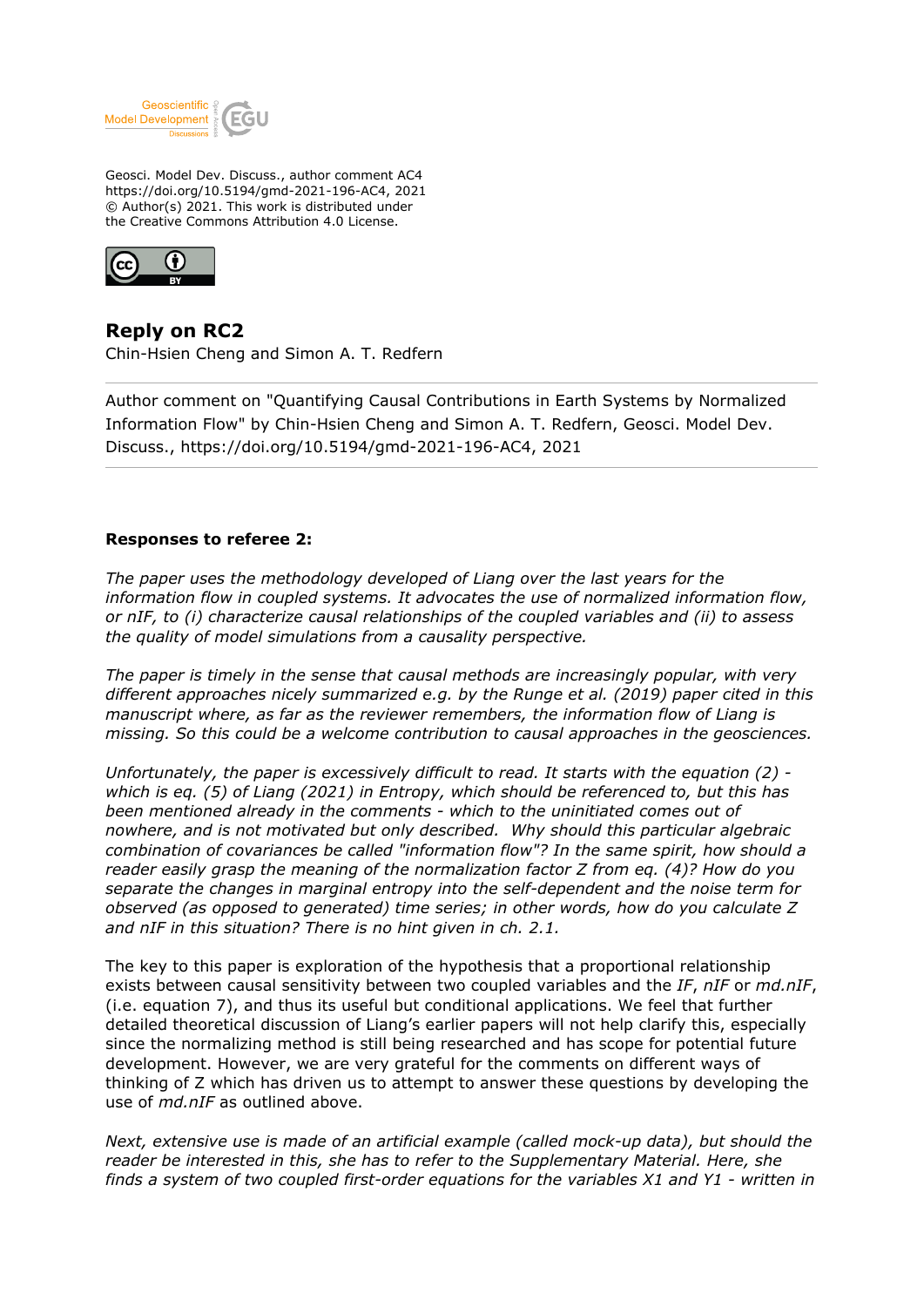

Geosci. Model Dev. Discuss., author comment AC4 https://doi.org/10.5194/gmd-2021-196-AC4, 2021 © Author(s) 2021. This work is distributed under the Creative Commons Attribution 4.0 License.



**Reply on RC2** Chin-Hsien Cheng and Simon A. T. Redfern

Author comment on "Quantifying Causal Contributions in Earth Systems by Normalized Information Flow" by Chin-Hsien Cheng and Simon A. T. Redfern, Geosci. Model Dev. Discuss., https://doi.org/10.5194/gmd-2021-196-AC4, 2021

## **Responses to referee 2:**

*The paper uses the methodology developed of Liang over the last years for the information flow in coupled systems. It advocates the use of normalized information flow, or nIF, to (i) characterize causal relationships of the coupled variables and (ii) to assess the quality of model simulations from a causality perspective.*

*The paper is timely in the sense that causal methods are increasingly popular, with very different approaches nicely summarized e.g. by the Runge et al. (2019) paper cited in this manuscript where, as far as the reviewer remembers, the information flow of Liang is missing. So this could be a welcome contribution to causal approaches in the geosciences.*

*Unfortunately, the paper is excessively difficult to read. It starts with the equation (2) which is eq. (5) of Liang (2021) in Entropy, which should be referenced to, but this has been mentioned already in the comments - which to the uninitiated comes out of nowhere, and is not motivated but only described. Why should this particular algebraic combination of covariances be called "information flow"? In the same spirit, how should a reader easily grasp the meaning of the normalization factor Z from eq. (4)? How do you separate the changes in marginal entropy into the self-dependent and the noise term for observed (as opposed to generated) time series; in other words, how do you calculate Z and nIF in this situation? There is no hint given in ch. 2.1.*

The key to this paper is exploration of the hypothesis that a proportional relationship exists between causal sensitivity between two coupled variables and the *IF*, *nIF* or *md.nIF*, (i.e. equation 7), and thus its useful but conditional applications. We feel that further detailed theoretical discussion of Liang's earlier papers will not help clarify this, especially since the normalizing method is still being researched and has scope for potential future development. However, we are very grateful for the comments on different ways of thinking of Z which has driven us to attempt to answer these questions by developing the use of *md.nIF* as outlined above.

*Next, extensive use is made of an artificial example (called mock-up data), but should the reader be interested in this, she has to refer to the Supplementary Material. Here, she finds a system of two coupled first-order equations for the variables X1 and Y1 - written in*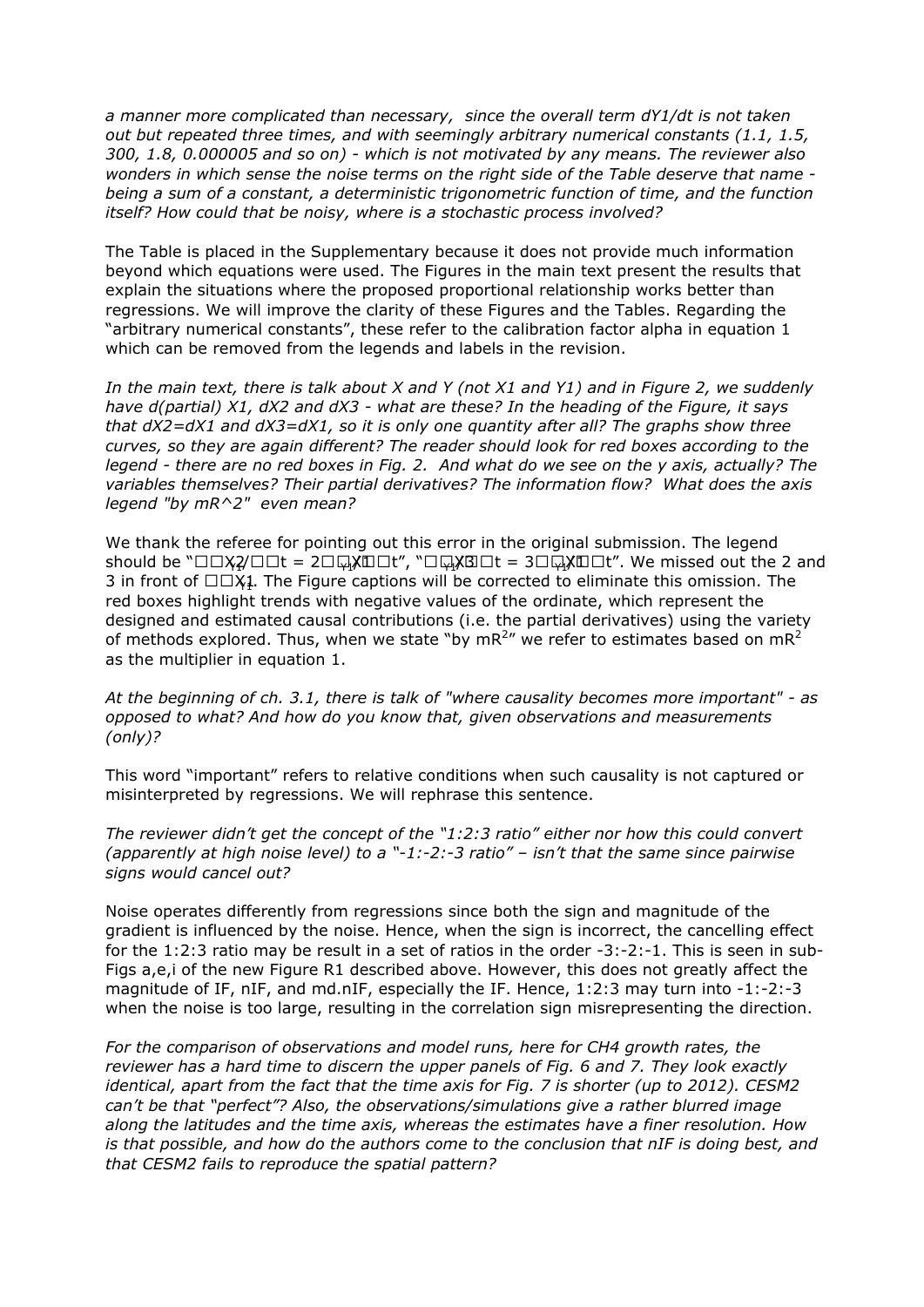*a manner more complicated than necessary, since the overall term dY1/dt is not taken out but repeated three times, and with seemingly arbitrary numerical constants (1.1, 1.5, 300, 1.8, 0.000005 and so on) - which is not motivated by any means. The reviewer also wonders in which sense the noise terms on the right side of the Table deserve that name being a sum of a constant, a deterministic trigonometric function of time, and the function itself? How could that be noisy, where is a stochastic process involved?* 

The Table is placed in the Supplementary because it does not provide much information beyond which equations were used. The Figures in the main text present the results that explain the situations where the proposed proportional relationship works better than regressions. We will improve the clarity of these Figures and the Tables. Regarding the "arbitrary numerical constants", these refer to the calibration factor alpha in equation 1 which can be removed from the legends and labels in the revision.

*In the main text, there is talk about X and Y (not X1 and Y1) and in Figure 2, we suddenly have d(partial) X1, dX2 and dX3 - what are these? In the heading of the Figure, it says that dX2=dX1 and dX3=dX1, so it is only one quantity after all? The graphs show three curves, so they are again different? The reader should look for red boxes according to the legend - there are no red boxes in Fig. 2. And what do we see on the y axis, actually? The variables themselves? Their partial derivatives? The information flow? What does the axis legend "by mR^2" even mean?*

We thank the referee for pointing out this error in the original submission. The legend should be  $\sqrt[m]{\log 2}$  $\Box$  = 2 $\Box$  $\Box x$  $\Box$  $\Box t$ ",  $\Box \Box x$  $\Box$  = 3 $\Box$  $\Box x$  $\Box$  $\Box t$ ". We missed out the 2 and 3 in front of  $\Box \Box X$ 1. The Figure captions will be corrected to eliminate this omission. The red boxes highlight trends with negative values of the ordinate, which represent the designed and estimated causal contributions (i.e. the partial derivatives) using the variety of methods explored. Thus, when we state "by mR<sup>2</sup>" we refer to estimates based on mR<sup>2</sup> as the multiplier in equation 1.

*At the beginning of ch. 3.1, there is talk of "where causality becomes more important" - as opposed to what? And how do you know that, given observations and measurements (only)?* 

This word "important" refers to relative conditions when such causality is not captured or misinterpreted by regressions. We will rephrase this sentence.

*The reviewer didn't get the concept of the "1:2:3 ratio" either nor how this could convert (apparently at high noise level) to a "-1:-2:-3 ratio" – isn't that the same since pairwise signs would cancel out?* 

Noise operates differently from regressions since both the sign and magnitude of the gradient is influenced by the noise. Hence, when the sign is incorrect, the cancelling effect for the 1:2:3 ratio may be result in a set of ratios in the order -3:-2:-1. This is seen in sub-Figs a,e,i of the new Figure R1 described above. However, this does not greatly affect the magnitude of IF, nIF, and md.nIF, especially the IF. Hence, 1:2:3 may turn into -1:-2:-3 when the noise is too large, resulting in the correlation sign misrepresenting the direction.

*For the comparison of observations and model runs, here for CH4 growth rates, the reviewer has a hard time to discern the upper panels of Fig. 6 and 7. They look exactly identical, apart from the fact that the time axis for Fig. 7 is shorter (up to 2012). CESM2 can't be that "perfect"? Also, the observations/simulations give a rather blurred image along the latitudes and the time axis, whereas the estimates have a finer resolution. How is that possible, and how do the authors come to the conclusion that nIF is doing best, and that CESM2 fails to reproduce the spatial pattern?*